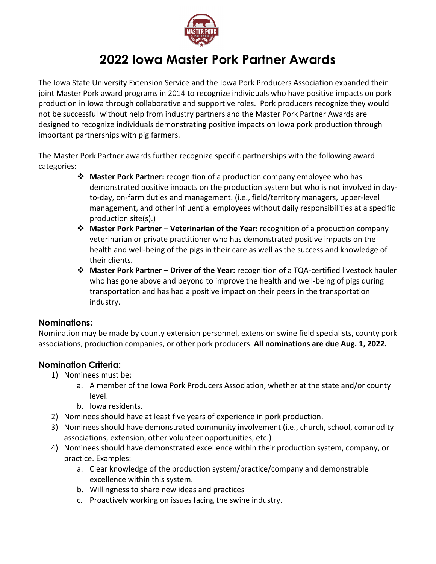

# **2022 Iowa Master Pork Partner Awards**

The Iowa State University Extension Service and the Iowa Pork Producers Association expanded their joint Master Pork award programs in 2014 to recognize individuals who have positive impacts on pork production in Iowa through collaborative and supportive roles. Pork producers recognize they would not be successful without help from industry partners and the Master Pork Partner Awards are designed to recognize individuals demonstrating positive impacts on Iowa pork production through important partnerships with pig farmers.

The Master Pork Partner awards further recognize specific partnerships with the following award categories:

- **Master Pork Partner:** recognition of a production company employee who has demonstrated positive impacts on the production system but who is not involved in dayto-day, on-farm duties and management. (i.e., field/territory managers, upper-level management, and other influential employees without daily responsibilities at a specific production site(s).)
- **Master Pork Partner – Veterinarian of the Year:** recognition of a production company veterinarian or private practitioner who has demonstrated positive impacts on the health and well-being of the pigs in their care as well as the success and knowledge of their clients.
- **Master Pork Partner – Driver of the Year:** recognition of a TQA-certified livestock hauler who has gone above and beyond to improve the health and well-being of pigs during transportation and has had a positive impact on their peers in the transportation industry.

#### **Nominations:**

Nomination may be made by county extension personnel, extension swine field specialists, county pork associations, production companies, or other pork producers. **All nominations are due Aug. 1, 2022.**

#### **Nomination Criteria:**

- 1) Nominees must be:
	- a. A member of the Iowa Pork Producers Association, whether at the state and/or county level.
	- b. Iowa residents.
- 2) Nominees should have at least five years of experience in pork production.
- 3) Nominees should have demonstrated community involvement (i.e., church, school, commodity associations, extension, other volunteer opportunities, etc.)
- 4) Nominees should have demonstrated excellence within their production system, company, or practice. Examples:
	- a. Clear knowledge of the production system/practice/company and demonstrable excellence within this system.
	- b. Willingness to share new ideas and practices
	- c. Proactively working on issues facing the swine industry.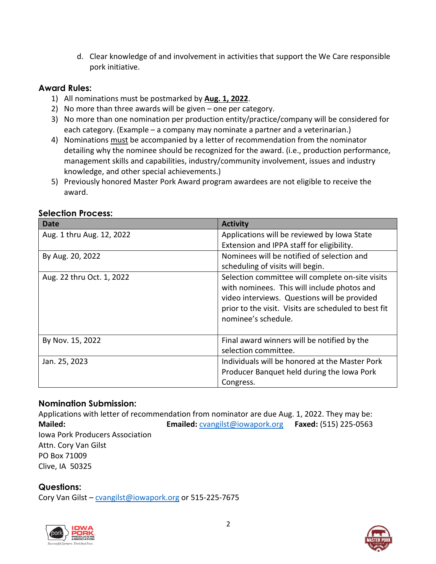d. Clear knowledge of and involvement in activities that support the We Care responsible pork initiative.

## **Award Rules:**

- 1) All nominations must be postmarked by **Aug. 1, 2022**.
- 2) No more than three awards will be given one per category.
- 3) No more than one nomination per production entity/practice/company will be considered for each category. (Example – a company may nominate a partner and a veterinarian.)
- 4) Nominations must be accompanied by a letter of recommendation from the nominator detailing why the nominee should be recognized for the award. (i.e., production performance, management skills and capabilities, industry/community involvement, issues and industry knowledge, and other special achievements.)
- 5) Previously honored Master Pork Award program awardees are not eligible to receive the award.

| <b>Date</b>               | <b>Activity</b>                                      |  |
|---------------------------|------------------------------------------------------|--|
| Aug. 1 thru Aug. 12, 2022 | Applications will be reviewed by Iowa State          |  |
|                           | Extension and IPPA staff for eligibility.            |  |
| By Aug. 20, 2022          | Nominees will be notified of selection and           |  |
|                           | scheduling of visits will begin.                     |  |
| Aug. 22 thru Oct. 1, 2022 | Selection committee will complete on-site visits     |  |
|                           | with nominees. This will include photos and          |  |
|                           | video interviews. Questions will be provided         |  |
|                           | prior to the visit. Visits are scheduled to best fit |  |
|                           | nominee's schedule.                                  |  |
|                           |                                                      |  |
| By Nov. 15, 2022          | Final award winners will be notified by the          |  |
|                           | selection committee.                                 |  |
| Jan. 25, 2023             | Individuals will be honored at the Master Pork       |  |
|                           | Producer Banquet held during the Iowa Pork           |  |
|                           | Congress.                                            |  |

## **Selection Process:**

#### **Nomination Submission:**

Applications with letter of recommendation from nominator are due Aug. 1, 2022. They may be: **Mailed: Emailed:** [cvangilst@iowapork.org](mailto:cvangilst@iowapork.org) **Faxed:** (515) 225-0563 Iowa Pork Producers Association Attn. Cory Van Gilst PO Box 71009 Clive, IA 50325

# **Questions:**

Cory Van Gilst - [cvangilst@iowapork.org](mailto:cvangilst@iowapork.org) or 515-225-7675



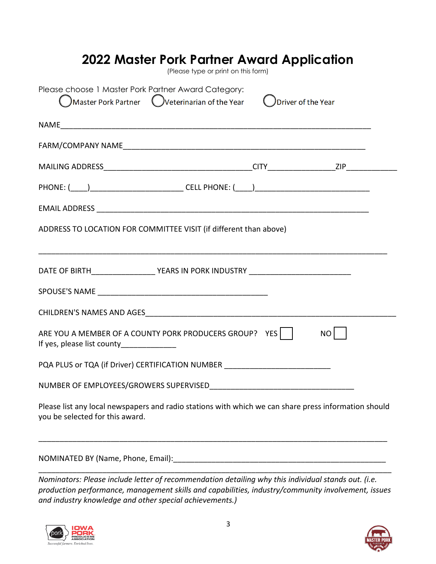| 2022 Master Pork Partner Award Application                                                                                                              | (Please type or print on this form) |    |
|---------------------------------------------------------------------------------------------------------------------------------------------------------|-------------------------------------|----|
| Please choose 1 Master Pork Partner Award Category:<br>$\bigcirc$ Master Pork Partner $\bigcirc$ Veterinarian of the Year $\bigcirc$ Driver of the Year |                                     |    |
|                                                                                                                                                         |                                     |    |
|                                                                                                                                                         |                                     |    |
|                                                                                                                                                         |                                     |    |
|                                                                                                                                                         |                                     |    |
|                                                                                                                                                         |                                     |    |
| ADDRESS TO LOCATION FOR COMMITTEE VISIT (if different than above)                                                                                       |                                     |    |
| DATE OF BIRTH____________________YEARS IN PORK INDUSTRY ________________________                                                                        |                                     |    |
|                                                                                                                                                         |                                     |    |
|                                                                                                                                                         |                                     |    |
| ARE YOU A MEMBER OF A COUNTY PORK PRODUCERS GROUP? YES  <br>If yes, please list county______________                                                    |                                     | NO |
| PQA PLUS or TQA (if Driver) CERTIFICATION NUMBER _______________________________                                                                        |                                     |    |
| NUMBER OF EMPLOYEES/GROWERS SUPERVISED                                                                                                                  |                                     |    |
| Please list any local newspapers and radio stations with which we can share press information should<br>you be selected for this award.                 |                                     |    |
|                                                                                                                                                         |                                     |    |

NOMINATED BY (Name, Phone, Email): \_\_\_\_\_\_\_\_\_\_\_\_\_\_\_\_\_\_\_\_\_\_\_\_\_\_\_\_\_\_\_\_\_\_\_\_\_\_\_\_\_\_\_\_\_\_\_\_\_\_\_\_\_\_\_\_\_\_\_\_\_\_\_\_\_\_\_\_\_\_\_\_\_\_\_\_\_\_\_\_\_\_\_

*Nominators: Please include letter of recommendation detailing why this individual stands out. (i.e. production performance, management skills and capabilities, industry/community involvement, issues and industry knowledge and other special achievements.)*

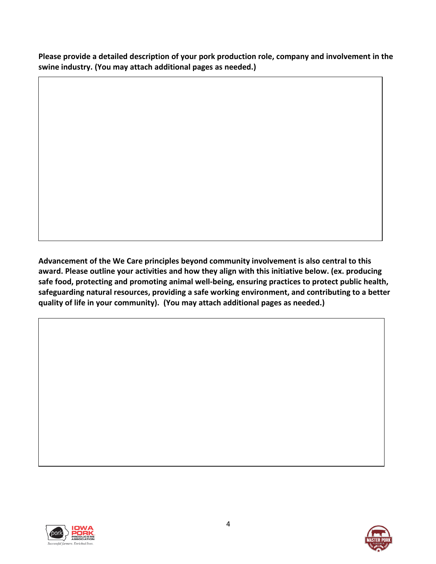**Please provide a detailed description of your pork production role, company and involvement in the swine industry. (You may attach additional pages as needed.)**

**Advancement of the We Care principles beyond community involvement is also central to this award. Please outline your activities and how they align with this initiative below. (ex. producing safe food, protecting and promoting animal well-being, ensuring practices to protect public health, safeguarding natural resources, providing a safe working environment, and contributing to a better quality of life in your community). (You may attach additional pages as needed.)**